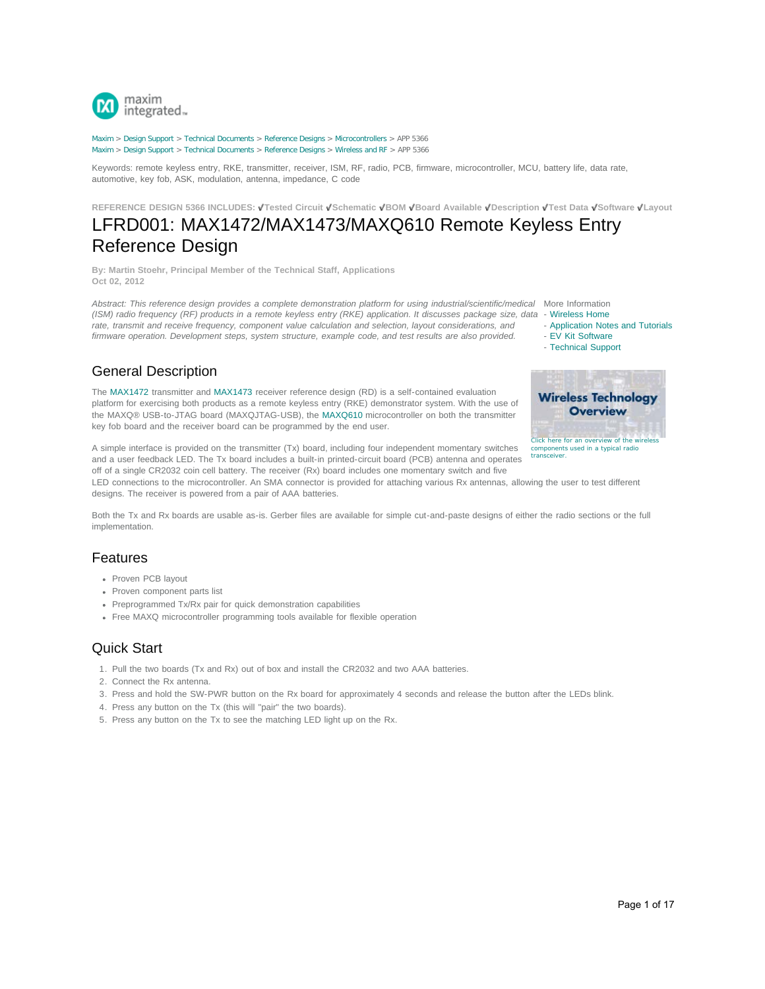

[Maxim](http://www.maximintegrated.com/) > [Design Support](http://www.maximintegrated.com/design/) > [Technical Documents](http://www.maximintegrated.com/design/techdocs/) > [Reference Designs](http://www.maximintegrated.com/design/techdocs/reference-designs/index.mvp) > [Microcontrollers](http://www.maximintegrated.com/design/techdocs/reference-designs/index.mvp/id/17/c/Microcontrollers#c17) > APP 5366 [Maxim](http://www.maximintegrated.com/) > [Design Support](http://www.maximintegrated.com/design/) > [Technical Documents](http://www.maximintegrated.com/design/techdocs/) > [Reference Designs](http://www.maximintegrated.com/design/techdocs/reference-designs/index.mvp) > [Wireless and RF](http://www.maximintegrated.com/design/techdocs/reference-designs/index.mvp/id/38/c/Wireless%20and%20RF#c38) > APP 5366

Keywords: remote keyless entry, RKE, transmitter, receiver, ISM, RF, radio, PCB, firmware, microcontroller, MCU, battery life, data rate, automotive, key fob, ASK, modulation, antenna, impedance, C code

**REFERENCE DESIGN 5366 INCLUDES: Tested Circuit Schematic BOM Board Available Description Test Data Software Layout**

# LFRD001: MAX1472/MAX1473/MAXQ610 Remote Keyless Entry Reference Design

**By: Martin Stoehr, Principal Member of the Technical Staff, Applications Oct 02, 2012**

Abstract: This reference design provides a complete demonstration platform for using industrial/scientific/medical More Information *(ISM) radio frequency (RF) products in a remote keyless entry (RKE) application. It discusses package size, data - [Wireless Home](http://www.maximintegrated.com/products/wireless/) rate, transmit and receive frequency, component value calculation and selection, layout considerations, and firmware operation. Development steps, system structure, example code, and test results are also provided.*

- 
- - [Application Notes and Tutorials](http://www.maximintegrated.com/appnotes10.cfm/ac_pk/38)
- - [EV Kit Software](http://www.maximintegrated.com/tools/evkit/index.cfm?pl=14)
- - [Technical Support](http://www.maximintegrated.com/support/tech_support/submit_question.mvp?pl_id=14)

# General Description

The [MAX1472](http://www.maximintegrated.com/MAX1472) transmitter and [MAX1473](http://www.maximintegrated.com/MAX1473) receiver reference design (RD) is a self-contained evaluation platform for exercising both products as a remote keyless entry (RKE) demonstrator system. With the use of the MAXQ® USB-to-JTAG board (MAXQJTAG-USB), the [MAXQ610](http://www.maximintegrated.com/MAXQ610) microcontroller on both the transmitter key fob board and the receiver board can be programmed by the end user.

A simple interface is provided on the transmitter (Tx) board, including four independent momentary switches and a user feedback LED. The Tx board includes a built-in printed-circuit board (PCB) antenna and operates off of a single CR2032 coin cell battery. The receiver (Rx) board includes one momentary switch and five

LED connections to the microcontroller. An SMA connector is provided for attaching various Rx antennas, allowing the user to test different designs. The receiver is powered from a pair of AAA batteries.

Both the Tx and Rx boards are usable as-is. Gerber files are available for simple cut-and-paste designs of either the radio sections or the full implementation.

## Features

- Proven PCB layout
- Proven component parts list
- Preprogrammed Tx/Rx pair for quick demonstration capabilities
- Free MAXQ microcontroller programming tools available for flexible operation

# Quick Start

- 1. Pull the two boards (Tx and Rx) out of box and install the CR2032 and two AAA batteries.
- 2. Connect the Rx antenna.
- 3. Press and hold the SW-PWR button on the Rx board for approximately 4 seconds and release the button after the LEDs blink.
- 4. Press any button on the Tx (this will "pair" the two boards).
- 5. Press any button on the Tx to see the matching LED light up on the Rx.



[Click here for an overview of the wireless](http://www.maximintegrated.com/app-notes/index.mvp/id/4651) [components used in a typical radio](http://www.maximintegrated.com/app-notes/index.mvp/id/4651) [transceiver.](http://www.maximintegrated.com/app-notes/index.mvp/id/4651)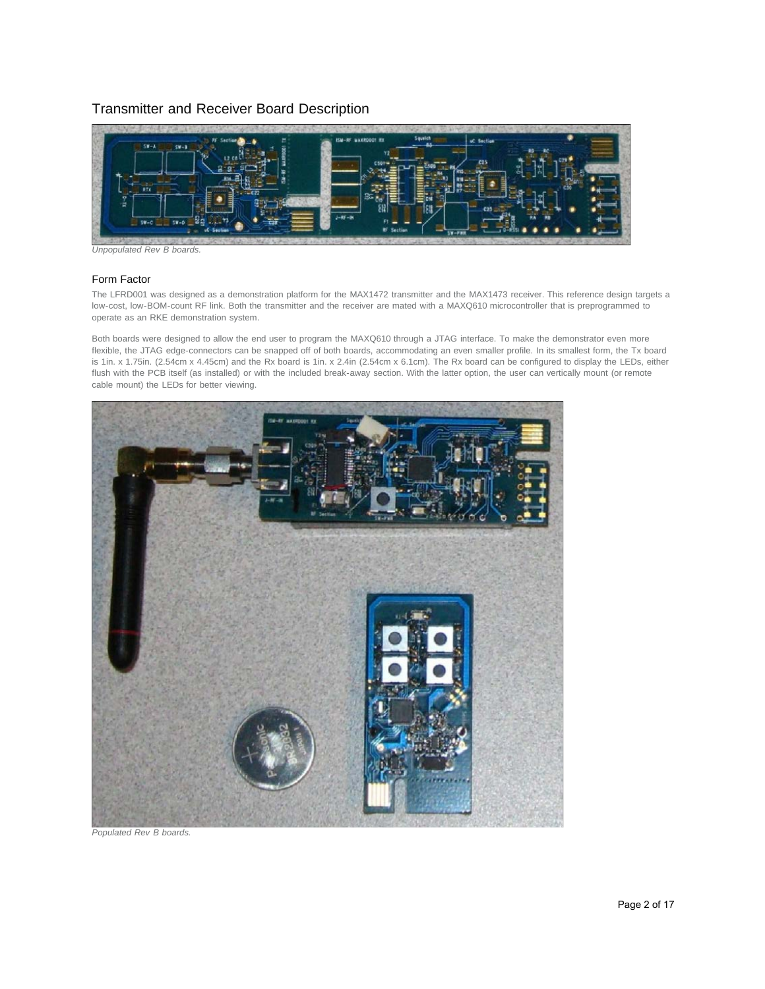### Transmitter and Receiver Board Description



*Unpopulated Rev B boards.*

#### Form Factor

The LFRD001 was designed as a demonstration platform for the MAX1472 transmitter and the MAX1473 receiver. This reference design targets a low-cost, low-BOM-count RF link. Both the transmitter and the receiver are mated with a MAXQ610 microcontroller that is preprogrammed to operate as an RKE demonstration system.

Both boards were designed to allow the end user to program the MAXQ610 through a JTAG interface. To make the demonstrator even more flexible, the JTAG edge-connectors can be snapped off of both boards, accommodating an even smaller profile. In its smallest form, the Tx board is 1in. x 1.75in. (2.54cm x 4.45cm) and the Rx board is 1in. x 2.4in (2.54cm x 6.1cm). The Rx board can be configured to display the LEDs, either flush with the PCB itself (as installed) or with the included break-away section. With the latter option, the user can vertically mount (or remote cable mount) the LEDs for better viewing.



*Populated Rev B boards.*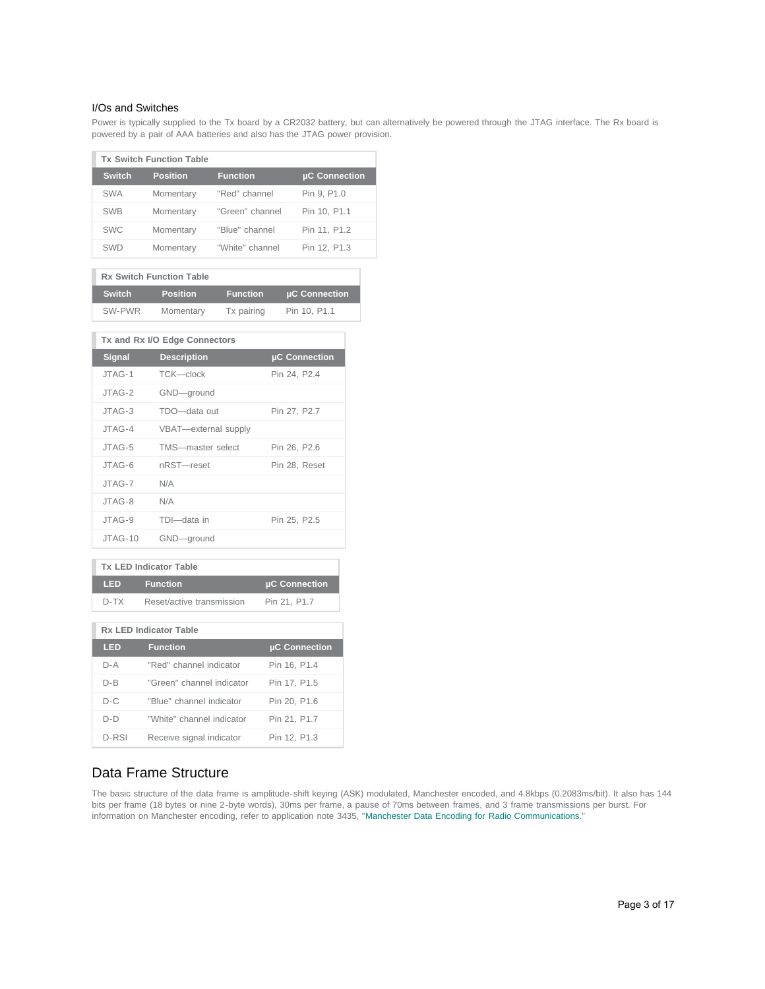#### I/Os and Switches

Power is typically supplied to the Tx board by a CR2032 battery, but can alternatively be powered through the JTAG interface. The Rx board is powered by a pair of AAA batteries and also has the JTAG power provision.

| <b>Tx Switch Function Table</b> |                 |                 |               |  |  |  |  |  |  |  |
|---------------------------------|-----------------|-----------------|---------------|--|--|--|--|--|--|--|
| <b>Switch</b>                   | <b>Position</b> | <b>Function</b> | µC Connection |  |  |  |  |  |  |  |
| <b>SWA</b>                      | Momentary       | "Red" channel   | Pin 9, P1.0   |  |  |  |  |  |  |  |
| <b>SWB</b>                      | Momentary       | "Green" channel | Pin 10, P1.1  |  |  |  |  |  |  |  |
| <b>SWC</b>                      | Momentary       | "Blue" channel  | Pin 11, P1.2  |  |  |  |  |  |  |  |
| SWD                             | Momentary       | "White" channel | Pin 12, P1.3  |  |  |  |  |  |  |  |

| <b>Rx Switch Function Table</b> |                 |                 |               |  |  |  |  |  |  |
|---------------------------------|-----------------|-----------------|---------------|--|--|--|--|--|--|
| <b>Switch</b>                   | <b>Position</b> | <b>Function</b> | µC Connection |  |  |  |  |  |  |
| SW-PWR                          | Momentary       | Tx pairing      | Pin 10, P1.1  |  |  |  |  |  |  |

| Tx and Rx I/O Edge Connectors |                      |               |  |  |  |  |  |  |  |
|-------------------------------|----------------------|---------------|--|--|--|--|--|--|--|
| <b>Signal</b>                 | <b>Description</b>   | µC Connection |  |  |  |  |  |  |  |
| JTAG-1                        | TCK-clock            | Pin 24, P2.4  |  |  |  |  |  |  |  |
| JTAG-2                        | GND-ground           |               |  |  |  |  |  |  |  |
| JTAG-3                        | TDO-data out         | Pin 27, P2.7  |  |  |  |  |  |  |  |
| JTAG-4                        | VBAT-external supply |               |  |  |  |  |  |  |  |
| JTAG-5                        | TMS-master select    | Pin 26, P2.6  |  |  |  |  |  |  |  |
| $JTAG-6$                      | nRST-reset           | Pin 28, Reset |  |  |  |  |  |  |  |
| JTAG-7                        | N/A                  |               |  |  |  |  |  |  |  |
| $JTAG-8$                      | N/A                  |               |  |  |  |  |  |  |  |
| JTAG-9                        | TDI-data in          | Pin 25, P2.5  |  |  |  |  |  |  |  |
| JTAG-10                       | GND-ground           |               |  |  |  |  |  |  |  |

| <b>Tx LED Indicator Table</b> |                           |               |  |  |  |  |  |  |  |
|-------------------------------|---------------------------|---------------|--|--|--|--|--|--|--|
| <b>LED</b>                    | <b>Function</b>           | µC Connection |  |  |  |  |  |  |  |
| D-TX                          | Reset/active transmission | Pin 21, P1.7  |  |  |  |  |  |  |  |
| <b>Rx LED Indicator Table</b> |                           |               |  |  |  |  |  |  |  |
|                               |                           |               |  |  |  |  |  |  |  |
| LED                           | <b>Function</b>           | µC Connection |  |  |  |  |  |  |  |
| $D - A$                       | "Red" channel indicator   | Pin 16, P1.4  |  |  |  |  |  |  |  |
| D-B                           | "Green" channel indicator | Pin 17, P1.5  |  |  |  |  |  |  |  |
| $D-C$                         | "Blue" channel indicator  | Pin 20, P1.6  |  |  |  |  |  |  |  |
| $D-D$                         | "White" channel indicator | Pin 21, P1.7  |  |  |  |  |  |  |  |
| D-RSI                         | Receive signal indicator  | Pin 12, P1.3  |  |  |  |  |  |  |  |

# Data Frame Structure

The basic structure of the data frame is amplitude-shift keying (ASK) modulated, Manchester encoded, and 4.8kbps (0.2083ms/bit). It also has 144 bits per frame (18 bytes or nine 2-byte words), 30ms per frame, a pause of 70ms between frames, and 3 frame transmissions per burst. For information on Manchester encoding, refer to application note 3435, "[Manchester Data Encoding for Radio Communications.](http://www.maximintegrated.com/an3435)"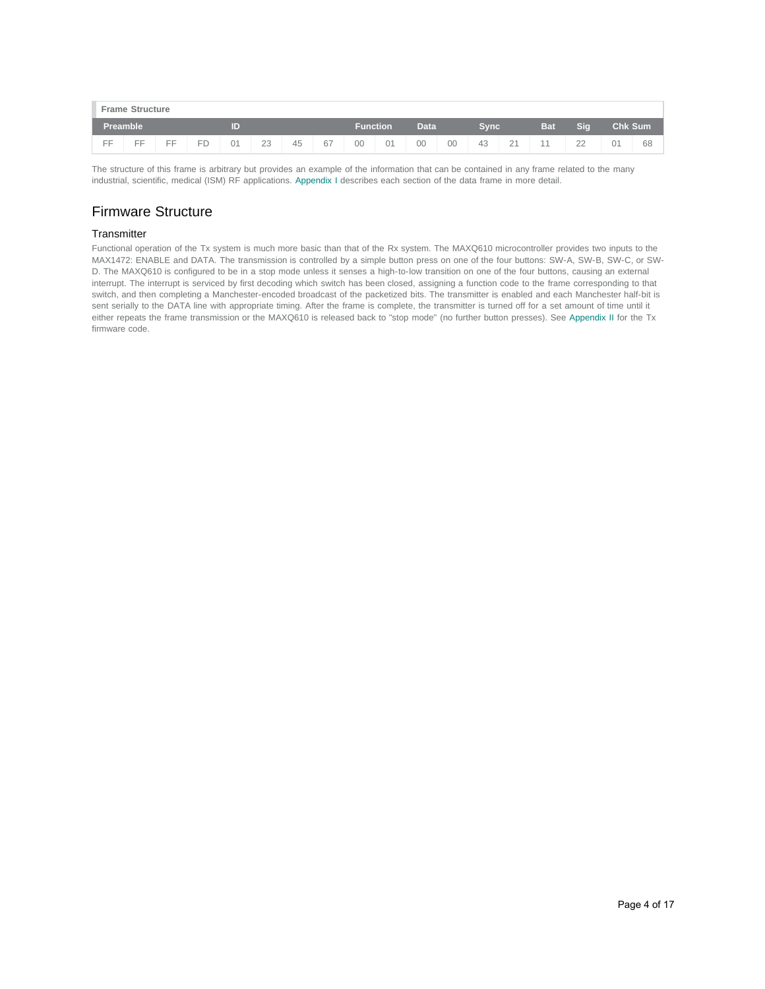| <b>Frame Structure</b> |    |    |           |    |    |    |    |                 |    |    |      |    |         |         |                 |                |    |
|------------------------|----|----|-----------|----|----|----|----|-----------------|----|----|------|----|---------|---------|-----------------|----------------|----|
| Preamble               |    |    | T         |    |    |    |    | <b>Function</b> |    |    | Data |    | Svnc'   |         | Sig             | <b>Chk Sum</b> |    |
| EE                     | EE | FF | <b>FD</b> | 01 | 23 | 45 | 67 | 00              | 01 | 00 | 00   | 43 | 21<br>∼ | $A$ $A$ | 22<br><u>__</u> | 01             | 68 |

The structure of this frame is arbitrary but provides an example of the information that can be contained in any frame related to the many industrial, scientific, medical (ISM) RF applications. [Appendix I](#page-11-0) describes each section of the data frame in more detail.

# Firmware Structure

#### **Transmitter**

Functional operation of the Tx system is much more basic than that of the Rx system. The MAXQ610 microcontroller provides two inputs to the MAX1472: ENABLE and DATA. The transmission is controlled by a simple button press on one of the four buttons: SW-A, SW-B, SW-C, or SW-D. The MAXQ610 is configured to be in a stop mode unless it senses a high-to-low transition on one of the four buttons, causing an external interrupt. The interrupt is serviced by first decoding which switch has been closed, assigning a function code to the frame corresponding to that switch, and then completing a Manchester-encoded broadcast of the packetized bits. The transmitter is enabled and each Manchester half-bit is sent serially to the DATA line with appropriate timing. After the frame is complete, the transmitter is turned off for a set amount of time until it either repeats the frame transmission or the MAXQ610 is released back to "stop mode" (no further button presses). See [Appendix II](#page-13-0) for the Tx firmware code.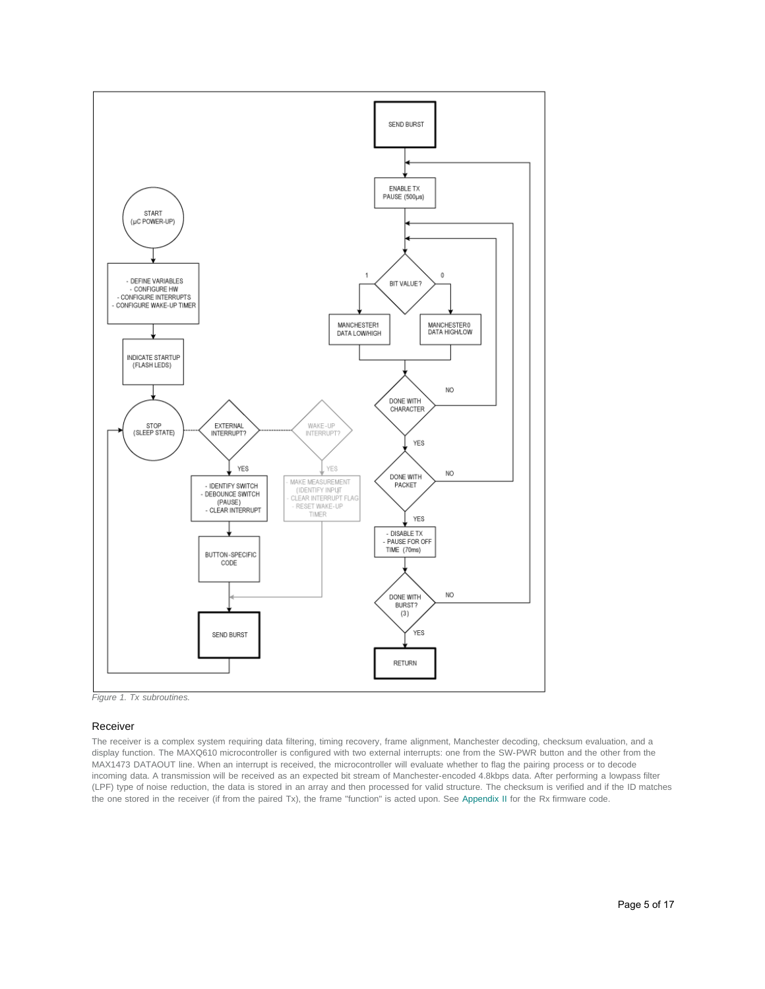

*Figure 1. Tx subroutines.*

#### Receiver

The receiver is a complex system requiring data filtering, timing recovery, frame alignment, Manchester decoding, checksum evaluation, and a display function. The MAXQ610 microcontroller is configured with two external interrupts: one from the SW-PWR button and the other from the MAX1473 DATAOUT line. When an interrupt is received, the microcontroller will evaluate whether to flag the pairing process or to decode incoming data. A transmission will be received as an expected bit stream of Manchester-encoded 4.8kbps data. After performing a lowpass filter (LPF) type of noise reduction, the data is stored in an array and then processed for valid structure. The checksum is verified and if the ID matches the one stored in the receiver (if from the paired Tx), the frame "function" is acted upon. See [Appendix II](#page-13-0) for the Rx firmware code.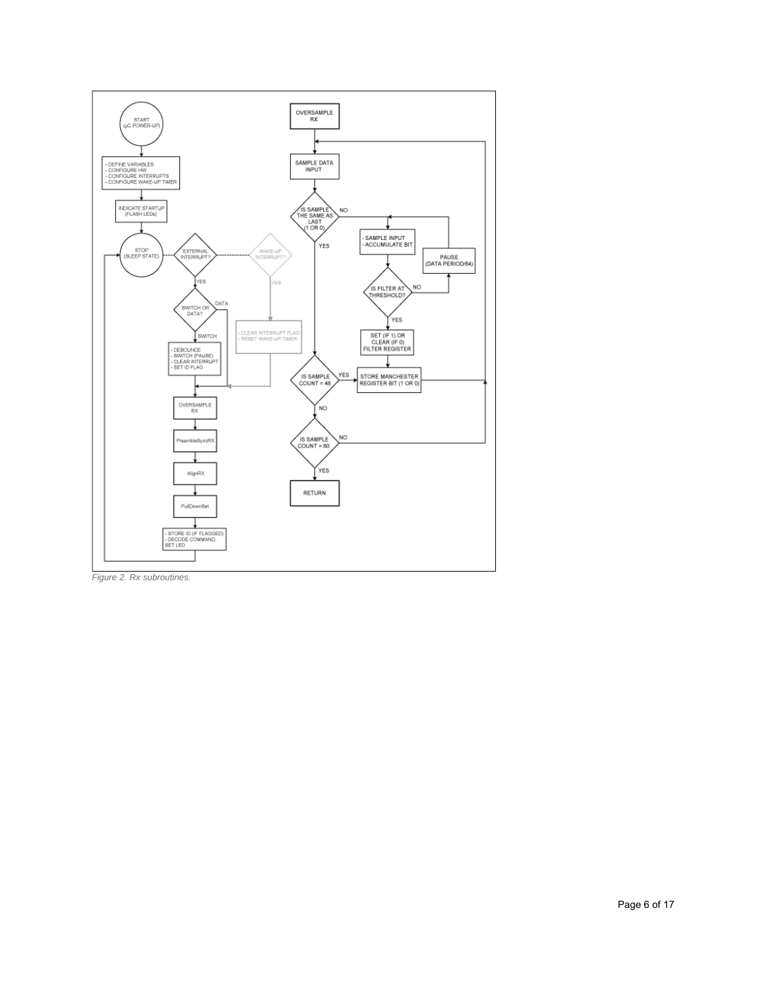

*Figure 2. Rx subroutines.*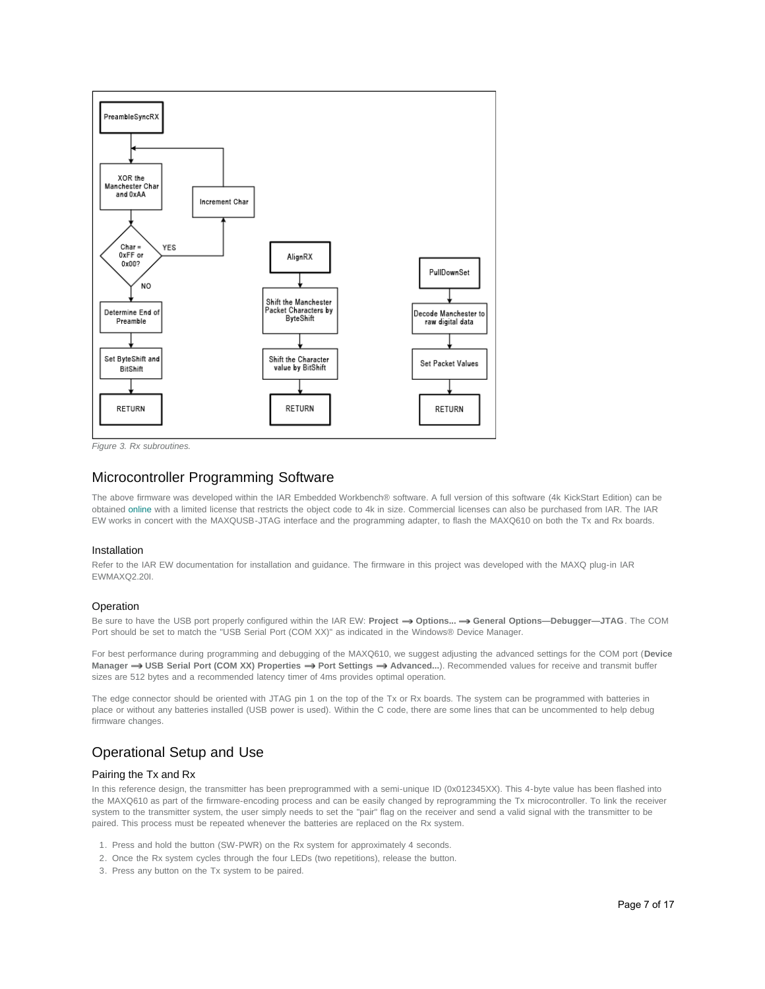

*Figure 3. Rx subroutines.*

### Microcontroller Programming Software

The above firmware was developed within the IAR Embedded Workbench® software. A full version of this software (4k KickStart Edition) can be obtained [online](http://www.iar.com/) with a limited license that restricts the object code to 4k in size. Commercial licenses can also be purchased from IAR. The IAR EW works in concert with the MAXQUSB-JTAG interface and the programming adapter, to flash the MAXQ610 on both the Tx and Rx boards.

#### Installation

Refer to the IAR EW documentation for installation and guidance. The firmware in this project was developed with the MAXQ plug-in IAR EWMAXQ2.20I.

#### **Operation**

Be sure to have the USB port properly configured within the IAR EW: Project **-> Options... -> General Options--Debugger-JTAG**. The COM Port should be set to match the "USB Serial Port (COM XX)" as indicated in the Windows® Device Manager.

For best performance during programming and debugging of the MAXQ610, we suggest adjusting the advanced settings for the COM port (**Device** Manager  $\rightarrow$  USB Serial Port (COM XX) Properties  $\rightarrow$  Port Settings  $\rightarrow$  Advanced...). Recommended values for receive and transmit buffer sizes are 512 bytes and a recommended latency timer of 4ms provides optimal operation.

The edge connector should be oriented with JTAG pin 1 on the top of the Tx or Rx boards. The system can be programmed with batteries in place or without any batteries installed (USB power is used). Within the C code, there are some lines that can be uncommented to help debug firmware changes.

# Operational Setup and Use

#### Pairing the Tx and Rx

In this reference design, the transmitter has been preprogrammed with a semi-unique ID (0x012345XX). This 4-byte value has been flashed into the MAXQ610 as part of the firmware-encoding process and can be easily changed by reprogramming the Tx microcontroller. To link the receiver system to the transmitter system, the user simply needs to set the "pair" flag on the receiver and send a valid signal with the transmitter to be paired. This process must be repeated whenever the batteries are replaced on the Rx system.

- 1. Press and hold the button (SW-PWR) on the Rx system for approximately 4 seconds.
- 2. Once the Rx system cycles through the four LEDs (two repetitions), release the button.
- 3. Press any button on the Tx system to be paired.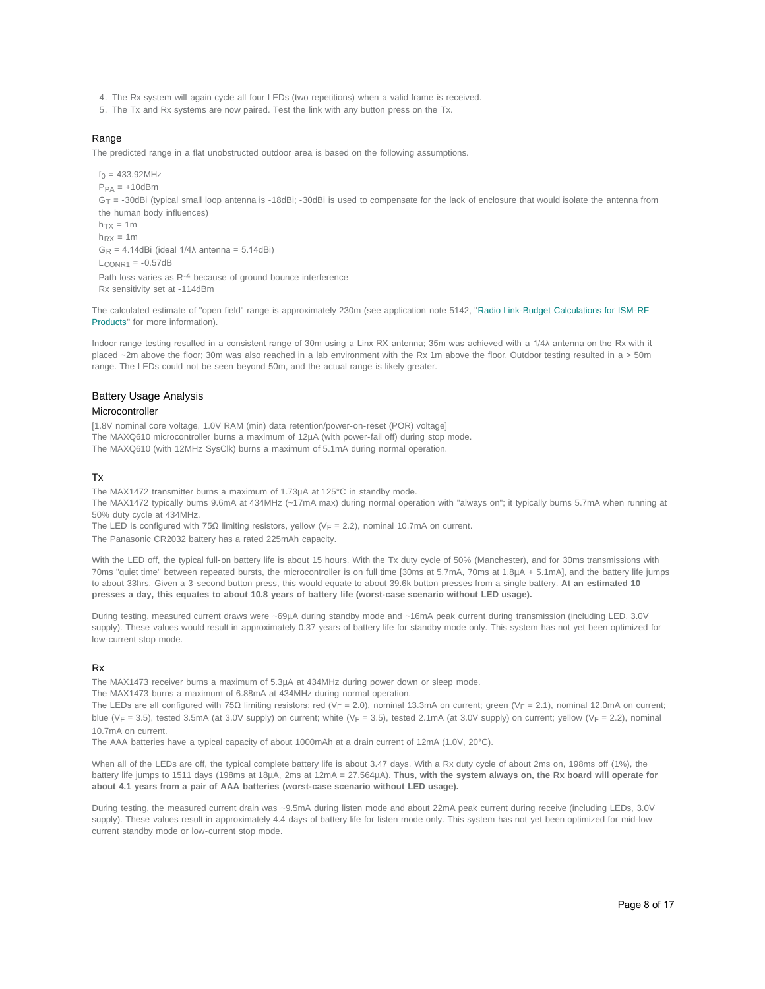- 4. The Rx system will again cycle all four LEDs (two repetitions) when a valid frame is received.
- 5. The Tx and Rx systems are now paired. Test the link with any button press on the Tx.

#### Range

The predicted range in a flat unobstructed outdoor area is based on the following assumptions.

 $f_0 = 433.92$ MHz  $P_{PA} = +10$ dBm  $G_T = -30dB$ i (typical small loop antenna is -18dBi; -30dBi is used to compensate for the lack of enclosure that would isolate the antenna from the human body influences)  $h_{\text{TV}} = 1m$  $h_{\text{PX}} = 1m$  $G_R = 4.14$ dBi (ideal  $1/4\lambda$  antenna = 5.14dBi)  $L_{CONR1} = -0.57dB$ Path loss varies as R<sup>-4</sup> because of ground bounce interference Rx sensitivity set at -114dBm

The calculated estimate of "open field" range is approximately 230m (see application note 5142, "[Radio Link-Budget Calculations for ISM-RF](http://www.maximintegrated.com/an5142) [Products"](http://www.maximintegrated.com/an5142) for more information).

Indoor range testing resulted in a consistent range of 30m using a Linx RX antenna; 35m was achieved with a 1/4λ antenna on the Rx with it placed ~2m above the floor; 30m was also reached in a lab environment with the Rx 1m above the floor. Outdoor testing resulted in a > 50m range. The LEDs could not be seen beyond 50m, and the actual range is likely greater.

#### Battery Usage Analysis

#### Microcontroller

[1.8V nominal core voltage, 1.0V RAM (min) data retention/power-on-reset (POR) voltage] The MAXQ610 microcontroller burns a maximum of 12µA (with power-fail off) during stop mode. The MAXQ610 (with 12MHz SysClk) burns a maximum of 5.1mA during normal operation.

#### Tx

The MAX1472 transmitter burns a maximum of 1.73µA at 125°C in standby mode.

The MAX1472 typically burns 9.6mA at 434MHz (~17mA max) during normal operation with "always on"; it typically burns 5.7mA when running at 50% duty cycle at 434MHz.

The LED is configured with 75 $\Omega$  limiting resistors, yellow (V<sub>F</sub> = 2.2), nominal 10.7mA on current.

The Panasonic CR2032 battery has a rated 225mAh capacity.

With the LED off, the typical full-on battery life is about 15 hours. With the Tx duty cycle of 50% (Manchester), and for 30ms transmissions with 70ms "quiet time" between repeated bursts, the microcontroller is on full time [30ms at 5.7mA, 70ms at 1.8µA + 5.1mA], and the battery life jumps to about 33hrs. Given a 3-second button press, this would equate to about 39.6k button presses from a single battery. **At an estimated 10 presses a day, this equates to about 10.8 years of battery life (worst-case scenario without LED usage).**

During testing, measured current draws were ~69µA during standby mode and ~16mA peak current during transmission (including LED, 3.0V supply). These values would result in approximately 0.37 years of battery life for standby mode only. This system has not yet been optimized for low-current stop mode.

#### Rx

The MAX1473 receiver burns a maximum of 5.3µA at 434MHz during power down or sleep mode.

The MAX1473 burns a maximum of 6.88mA at 434MHz during normal operation.

The LEDs are all configured with 75 $\Omega$  limiting resistors: red (V<sub>F</sub> = 2.0), nominal 13.3mA on current; green (V<sub>F</sub> = 2.1), nominal 12.0mA on current; blue ( $V_F = 3.5$ ), tested 3.5mA (at 3.0V supply) on current; white ( $V_F = 3.5$ ), tested 2.1mA (at 3.0V supply) on current; yellow ( $V_F = 2.2$ ), nominal 10.7mA on current.

The AAA batteries have a typical capacity of about 1000mAh at a drain current of 12mA (1.0V, 20°C).

When all of the LEDs are off, the typical complete battery life is about 3.47 days. With a Rx duty cycle of about 2ms on, 198ms off (1%), the battery life jumps to 1511 days (198ms at 18µA, 2ms at 12mA = 27.564µA). **Thus, with the system always on, the Rx board will operate for about 4.1 years from a pair of AAA batteries (worst-case scenario without LED usage).**

During testing, the measured current drain was ~9.5mA during listen mode and about 22mA peak current during receive (including LEDs, 3.0V supply). These values result in approximately 4.4 days of battery life for listen mode only. This system has not yet been optimized for mid-low current standby mode or low-current stop mode.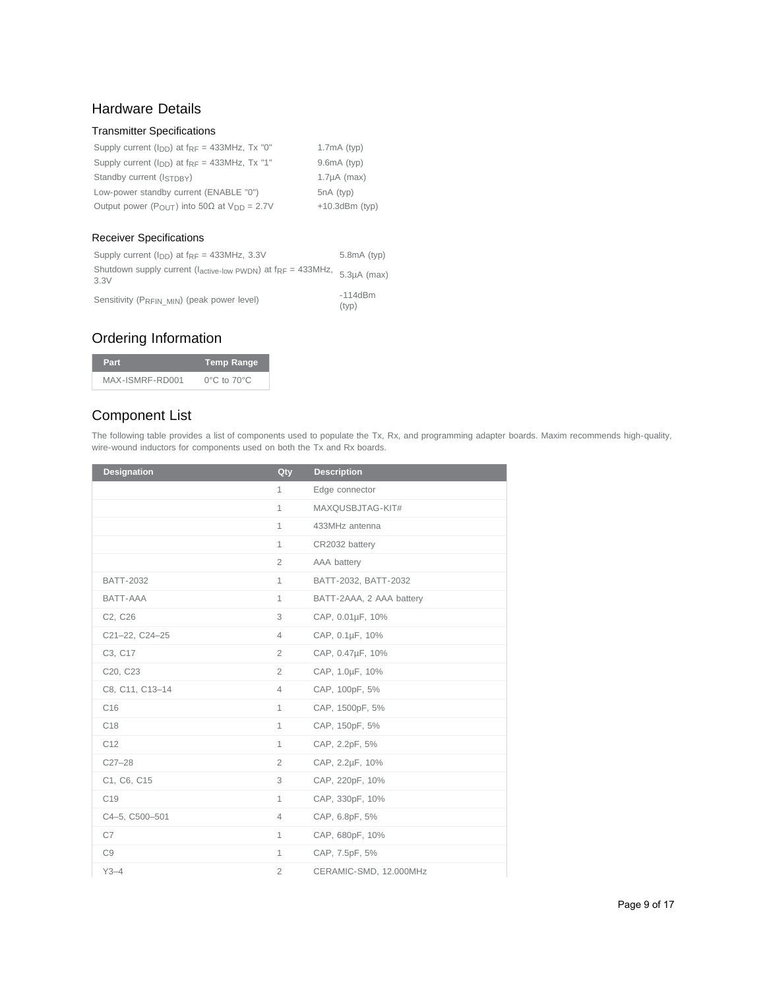# Hardware Details

### Transmitter Specifications

| Supply current $(I_{DD})$ at $f_{RF} = 433 MHz$ , Tx "0"                     | $1.7mA$ (typ)     |
|------------------------------------------------------------------------------|-------------------|
| Supply current $(I_{DD})$ at $f_{RF} = 433 MHz$ , Tx "1"                     | $9.6mA$ (typ)     |
| Standby current (ISTDBY)                                                     | $1.7\mu A$ (max)  |
| Low-power standby current (ENABLE "0")                                       | $5nA$ (typ)       |
| Output power ( $P_{\Omega I/T}$ ) into 50 $\Omega$ at $V_{\text{DD}} = 2.7V$ | $+10.3$ dBm (typ) |

### Receiver Specifications

| Supply current $(I_{DD})$ at $f_{RF} = 433 MHz$ , 3.3V                                                                          | $5.8mA$ (typ)      |
|---------------------------------------------------------------------------------------------------------------------------------|--------------------|
| Shutdown supply current ( $l_{\text{active-low PWDN}}$ ) at $f_{\text{RF}} = 433 \text{MHz}$ , $5.3 \mu \text{A (max)}$<br>3.3V |                    |
| Sensitivity (PRFIN MIN) (peak power level)                                                                                      | $-114dBm$<br>(tvp) |

# Ordering Information

| Part            | <b>Temp Range</b>               |
|-----------------|---------------------------------|
| MAX-ISMRF-RD001 | $0^{\circ}$ C to $70^{\circ}$ C |

# Component List

The following table provides a list of components used to populate the Tx, Rx, and programming adapter boards. Maxim recommends high-quality, wire-wound inductors for components used on both the Tx and Rx boards.

| <b>Designation</b> | Qty            | <b>Description</b>       |
|--------------------|----------------|--------------------------|
|                    | $\mathbf{1}$   | Edge connector           |
|                    | $\mathbf{1}$   | MAXQUSBJTAG-KIT#         |
|                    | $\mathbf{1}$   | 433MHz antenna           |
|                    | $\mathbf{1}$   | CR2032 battery           |
|                    | $\overline{2}$ | AAA battery              |
| <b>BATT-2032</b>   | $\mathbf{1}$   | BATT-2032, BATT-2032     |
| BATT-AAA           | $\mathbf{1}$   | BATT-2AAA, 2 AAA battery |
| C2, C26            | 3              | CAP, 0.01µF, 10%         |
| C21-22, C24-25     | $\overline{4}$ | CAP, 0.1µF, 10%          |
| C3, C17            | $\overline{2}$ | CAP, 0.47µF, 10%         |
| C20, C23           | $\overline{2}$ | CAP, 1.0µF, 10%          |
| C8, C11, C13-14    | 4              | CAP, 100pF, 5%           |
| C <sub>16</sub>    | $\mathbf{1}$   | CAP, 1500pF, 5%          |
| C <sub>18</sub>    | $\mathbf{1}$   | CAP, 150pF, 5%           |
| C12                | $\mathbf{1}$   | CAP, 2.2pF, 5%           |
| $C27 - 28$         | $\overline{2}$ | CAP, 2.2µF, 10%          |
| C1, C6, C15        | 3              | CAP, 220pF, 10%          |
| C <sub>19</sub>    | $\mathbf{1}$   | CAP, 330pF, 10%          |
| C4-5, C500-501     | $\overline{4}$ | CAP, 6.8pF, 5%           |
| C7                 | $\mathbf{1}$   | CAP, 680pF, 10%          |
| C9                 | $\mathbf{1}$   | CAP, 7.5pF, 5%           |
| $Y3-4$             | $\overline{2}$ | CERAMIC-SMD, 12.000MHz   |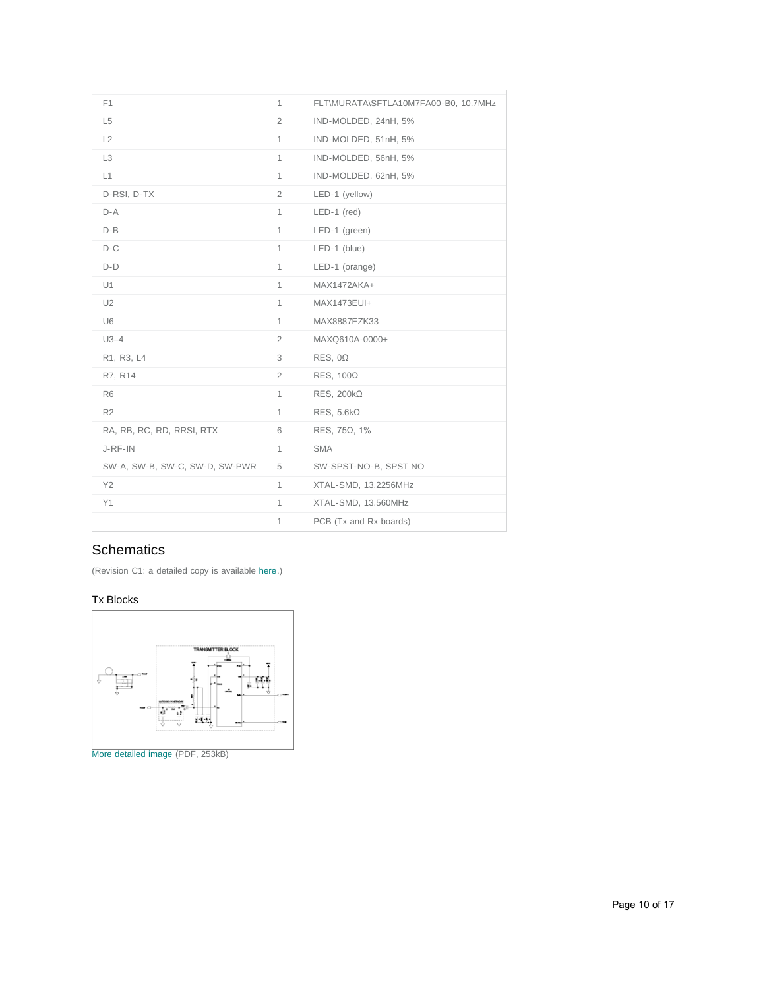| F <sub>1</sub>                 | $\mathbf{1}$   | FLT\MURATA\SFTLA10M7FA00-B0, 10.7MHz |
|--------------------------------|----------------|--------------------------------------|
| L <sub>5</sub>                 | $\overline{2}$ | IND-MOLDED, 24nH, 5%                 |
| L2                             | $\mathbf{1}$   | IND-MOLDED, 51nH, 5%                 |
| L <sub>3</sub>                 | 1              | IND-MOLDED, 56nH, 5%                 |
| L1                             | $\mathbf{1}$   | IND-MOLDED, 62nH, 5%                 |
| D-RSI, D-TX                    | $\overline{2}$ | LED-1 (yellow)                       |
| $D-A$                          | $\mathbf{1}$   | $LED-1$ (red)                        |
| $D - B$                        | 1              | LED-1 (green)                        |
| $D-C$                          | $\mathbf{1}$   | $LED-1$ (blue)                       |
| $D-D$                          | $\mathbf{1}$   | LED-1 (orange)                       |
| U1                             | $\mathbf{1}$   | MAX1472AKA+                          |
| U <sub>2</sub>                 | $\mathbf{1}$   | MAX1473EUI+                          |
| U6                             | $\mathbf{1}$   | MAX8887EZK33                         |
| $U3-4$                         | $\overline{2}$ | MAXQ610A-0000+                       |
| R1, R3, L4                     | 3              | $RES, 0\Omega$                       |
| R7, R14                        | $\overline{2}$ | $RES, 100\Omega$                     |
| R <sub>6</sub>                 | $\mathbf{1}$   | RES, $200k\Omega$                    |
| R <sub>2</sub>                 | $\mathbf{1}$   | $RES, 5.6k\Omega$                    |
| RA, RB, RC, RD, RRSI, RTX      | 6              | RES, $75\Omega$ , $1\%$              |
| J-RF-IN                        | $\mathbf{1}$   | <b>SMA</b>                           |
| SW-A, SW-B, SW-C, SW-D, SW-PWR | 5              | SW-SPST-NO-B, SPST NO                |
| Y2                             | $\mathbf{1}$   | XTAL-SMD, 13.2256MHz                 |
| Y1                             | $\mathbf{1}$   | XTAL-SMD, 13.560MHz                  |
|                                | 1              | PCB (Tx and Rx boards)               |

# **Schematics**

(Revision C1: a detailed copy is available [here.](http://www.maximintegrated.com/images/appnotes/5366/ISM-RF-RD001-C1-S.pdf))

### Tx Blocks

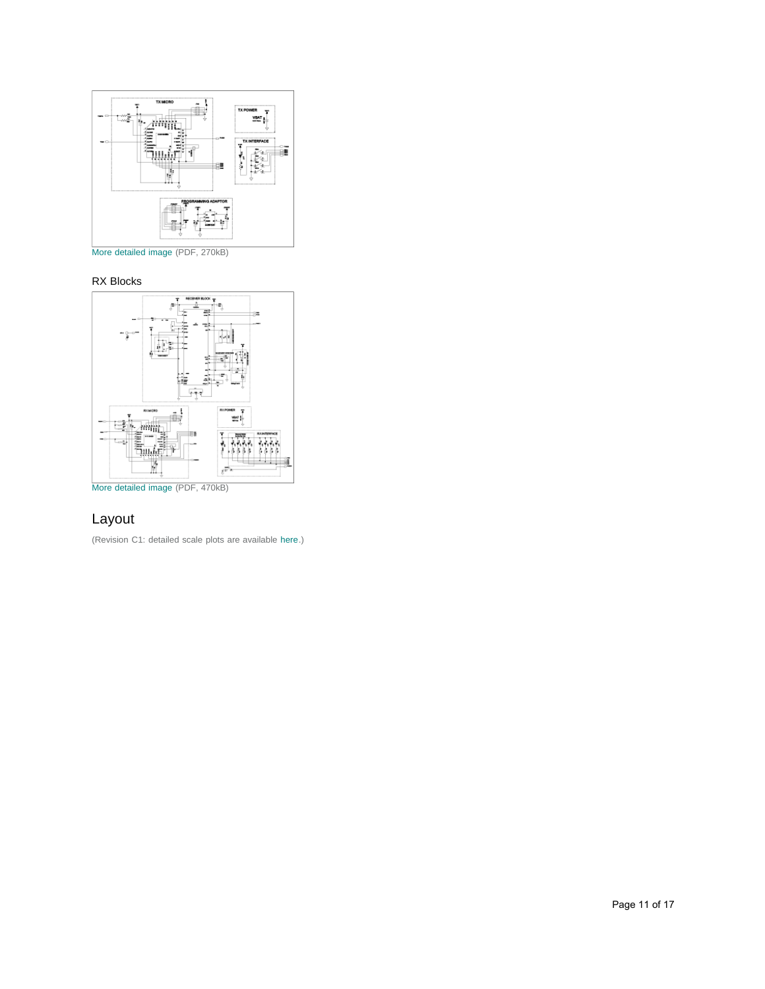

[More detailed image](http://www.maximintegrated.com/images/appnotes/5366/5366Fig05.pdf) (PDF, 270kB)

### RX Blocks



# Layout

(Revision C1: detailed scale plots are available [here.](http://www.maximintegrated.com/images/appnotes/5366/ISM-RF-RD001-C1-L.pdf))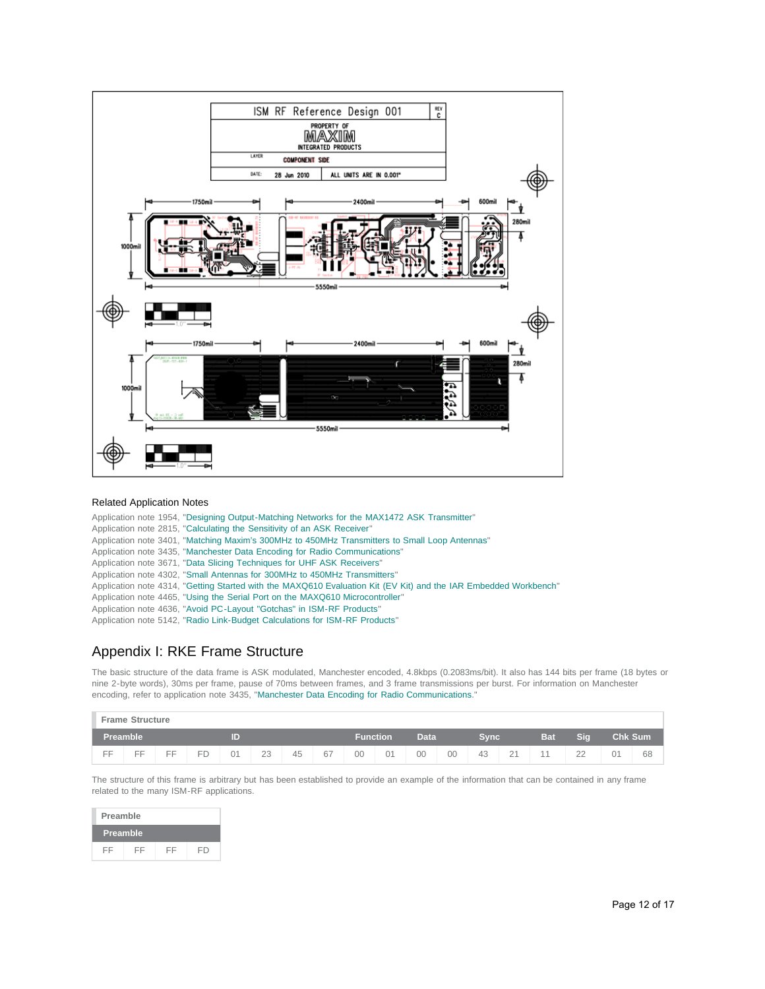

#### Related Application Notes

|  | Application note 1954, "Designing Output-Matching Networks for the MAX1472 ASK Transmitter"                      |
|--|------------------------------------------------------------------------------------------------------------------|
|  | Application note 2815, "Calculating the Sensitivity of an ASK Receiver"                                          |
|  | Application note 3401, "Matching Maxim's 300MHz to 450MHz Transmitters to Small Loop Antennas"                   |
|  | Application note 3435, "Manchester Data Encoding for Radio Communications"                                       |
|  | Application note 3671, "Data Slicing Techniques for UHF ASK Receivers"                                           |
|  | Application note 4302, "Small Antennas for 300MHz to 450MHz Transmitters"                                        |
|  | Application note 4314, "Getting Started with the MAXQ610 Evaluation Kit (EV Kit) and the IAR Embedded Workbench" |
|  | Application note 4465, "Using the Serial Port on the MAXQ610 Microcontroller"                                    |
|  | Application note 4636, "Avoid PC-Layout "Gotchas" in ISM-RF Products"                                            |
|  | Application pato 5142 "Padio Link Budget Calculations for ISM PE Producte"                                       |

### Application note 5142, "[Radio Link-Budget Calculations for ISM-RF Products"](http://www.maximintegrated.com/an5142)

## <span id="page-11-0"></span>Appendix I: RKE Frame Structure

The basic structure of the data frame is ASK modulated, Manchester encoded, 4.8kbps (0.2083ms/bit). It also has 144 bits per frame (18 bytes or nine 2-byte words), 30ms per frame, pause of 70ms between frames, and 3 frame transmissions per burst. For information on Manchester encoding, refer to application note 3435, ["Manchester Data Encoding for Radio Communications](http://www.maximintegrated.com/an3435)."

|                 | <b>Frame Structure</b> |    |    |                  |    |    |    |    |      |    |    |     |                |                |                     |    |    |
|-----------------|------------------------|----|----|------------------|----|----|----|----|------|----|----|-----|----------------|----------------|---------------------|----|----|
| <b>Preamble</b> |                        |    |    | Data<br>Function |    |    |    |    | Sync |    |    | Sig |                | <b>Chk Sum</b> |                     |    |    |
| EE              | ᄃᄃ                     | EE | FD | 01               | 23 | 45 | 67 | 00 | 01   | 00 | 00 | 43  | 21<br><u>_</u> |                | $\cap$<br><u>__</u> | 01 | 68 |

The structure of this frame is arbitrary but has been established to provide an example of the information that can be contained in any frame related to the many ISM-RF applications.

| Preamble        |    |    |    |
|-----------------|----|----|----|
| <b>Preamble</b> |    |    |    |
| FF              | FF | FF | FD |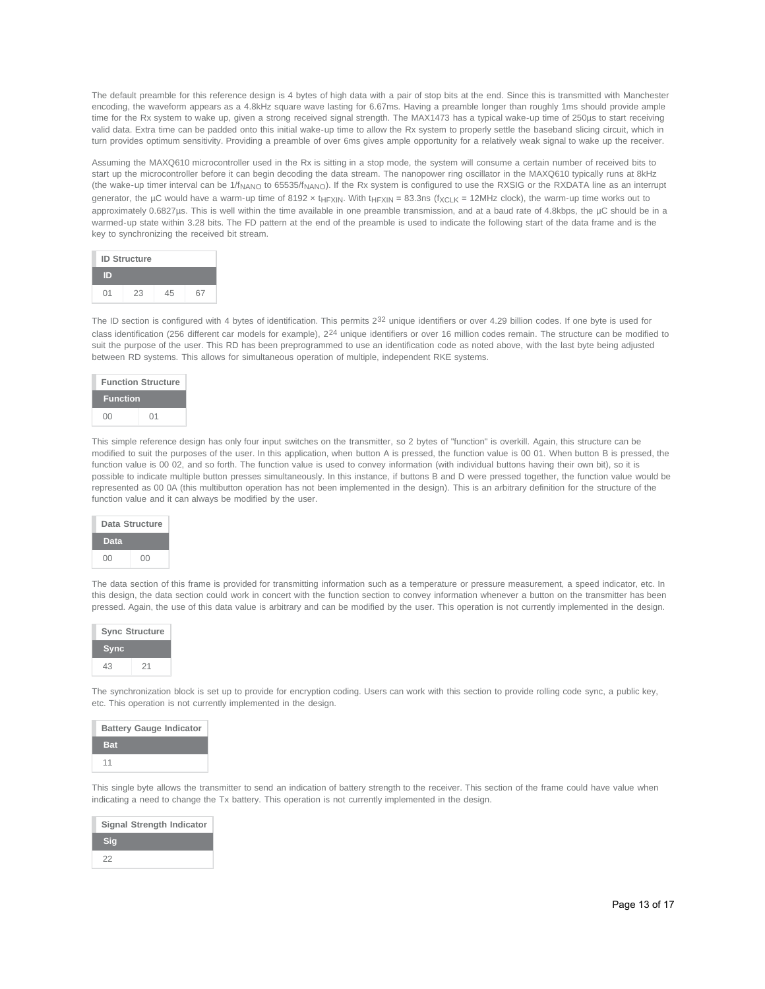The default preamble for this reference design is 4 bytes of high data with a pair of stop bits at the end. Since this is transmitted with Manchester encoding, the waveform appears as a 4.8kHz square wave lasting for 6.67ms. Having a preamble longer than roughly 1ms should provide ample time for the Rx system to wake up, given a strong received signal strength. The MAX1473 has a typical wake-up time of 250µs to start receiving valid data. Extra time can be padded onto this initial wake-up time to allow the Rx system to properly settle the baseband slicing circuit, which in turn provides optimum sensitivity. Providing a preamble of over 6ms gives ample opportunity for a relatively weak signal to wake up the receiver.

Assuming the MAXQ610 microcontroller used in the Rx is sitting in a stop mode, the system will consume a certain number of received bits to start up the microcontroller before it can begin decoding the data stream. The nanopower ring oscillator in the MAXQ610 typically runs at 8kHz (the wake-up timer interval can be 1/f<sub>NANO</sub> to 65535/f<sub>NANO</sub>). If the Rx system is configured to use the RXSIG or the RXDATA line as an interrupt generator, the µC would have a warm-up time of 8192 x t<sub>HFXIN</sub>. With t<sub>HFXIN</sub> = 83.3ns (f<sub>XCLK</sub> = 12MHz clock), the warm-up time works out to approximately 0.6827µs. This is well within the time available in one preamble transmission, and at a baud rate of 4.8kbps, the µC should be in a warmed-up state within 3.28 bits. The FD pattern at the end of the preamble is used to indicate the following start of the data frame and is the key to synchronizing the received bit stream.

| <b>ID Structure</b> |    |    |  |
|---------------------|----|----|--|
| D                   |    |    |  |
| 01                  | 23 | 45 |  |

The ID section is configured with 4 bytes of identification. This permits 2<sup>32</sup> unique identifiers or over 4.29 billion codes. If one byte is used for class identification (256 different car models for example), 224 unique identifiers or over 16 million codes remain. The structure can be modified to suit the purpose of the user. This RD has been preprogrammed to use an identification code as noted above, with the last byte being adjusted between RD systems. This allows for simultaneous operation of multiple, independent RKE systems.

| <b>Function Structure</b> |    |  |
|---------------------------|----|--|
| <b>Function</b>           |    |  |
| ΩO                        | 01 |  |

This simple reference design has only four input switches on the transmitter, so 2 bytes of "function" is overkill. Again, this structure can be modified to suit the purposes of the user. In this application, when button A is pressed, the function value is 00 01. When button B is pressed, the function value is 00 02, and so forth. The function value is used to convey information (with individual buttons having their own bit), so it is possible to indicate multiple button presses simultaneously. In this instance, if buttons B and D were pressed together, the function value would be represented as 00 0A (this multibutton operation has not been implemented in the design). This is an arbitrary definition for the structure of the function value and it can always be modified by the user.



The data section of this frame is provided for transmitting information such as a temperature or pressure measurement, a speed indicator, etc. In this design, the data section could work in concert with the function section to convey information whenever a button on the transmitter has been pressed. Again, the use of this data value is arbitrary and can be modified by the user. This operation is not currently implemented in the design.

| <b>Sync Structure</b> |    |
|-----------------------|----|
| <b>Sync</b>           |    |
| 43                    | 21 |

The synchronization block is set up to provide for encryption coding. Users can work with this section to provide rolling code sync, a public key, etc. This operation is not currently implemented in the design.



This single byte allows the transmitter to send an indication of battery strength to the receiver. This section of the frame could have value when indicating a need to change the Tx battery. This operation is not currently implemented in the design.

|     | Signal Strength Indicator |  |
|-----|---------------------------|--|
| Sia |                           |  |
| 22  |                           |  |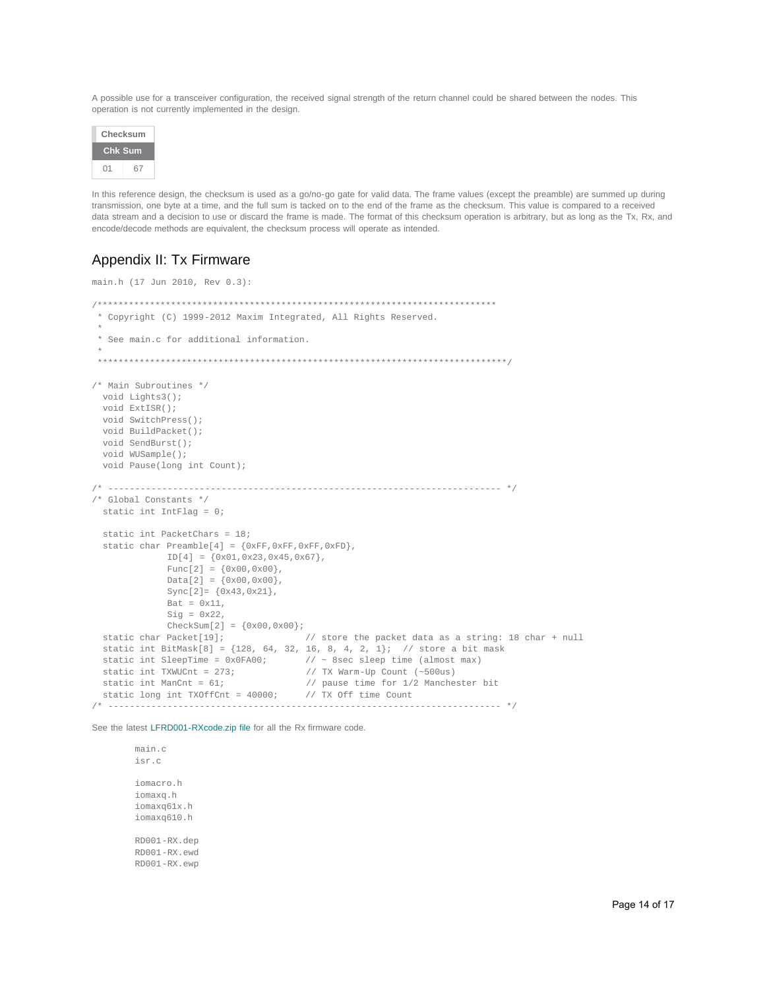A possible use for a transceiver configuration, the received signal strength of the return channel could be shared between the nodes. This operation is not currently implemented in the design.



In this reference design, the checksum is used as a go/no-go gate for valid data. The frame values (except the preamble) are summed up during transmission, one byte at a time, and the full sum is tacked on to the end of the frame as the checksum. This value is compared to a received data stream and a decision to use or discard the frame is made. The format of this checksum operation is arbitrary, but as long as the Tx, Rx, and encode/decode methods are equivalent, the checksum process will operate as intended.

## <span id="page-13-0"></span>Appendix II: Tx Firmware

```
main.h (17 Jun 2010, Rev 0.3): 
/****************************************************************************
 * Copyright (C) 1999-2012 Maxim Integrated, All Rights Reserved.
 *
 * See main.c for additional information. 
 *
 ******************************************************************************/
/* Main Subroutines */
  void Lights3();
  void ExtISR();
  void SwitchPress();
  void BuildPacket();
  void SendBurst();
  void WUSample();
  void Pause(long int Count);
/* ------------------------------------------------------------------------- */
/* Global Constants */
  static int IntFlag = 0;
  static int PacketChars = 18;
  static char Preamble[4] = {0xFF,0xFF,0xFF,0xFD},
              ID[4] = {0x01,0x23,0x45,0x67},Func[2] = \{0 \times 00, 0 \times 00\},
               Data[2] = \{0x00, 0x00\}, Sync[2]= {0x43,0x21},

              Sig = 0x22,CheckSum[2] = {0x00, 0x00};<br>static char Packet[19];
                              // store the packet data as a string: 18 char + null
 static int BitMask[8] = \{128, 64, 32, 16, 8, 4, 2, 1\}; // store a bit mask
 static int SleepTime = 0x0FA00; // ~ 8sec sleep time (almost max)<br>static int TXWUCnt = 273; // TX Warm-Up Count (~500us)
 static int TXWUCnt = 273;<br>static int ManCnt = 61;<br>// pause time for 1/2 Manche
                                           // pause time for 1/2 Manchester bit
 static long int TXOffCnt = 40000; // TX Off time Count
               /* ------------------------------------------------------------------------- */
```
See the latest [LFRD001-RXcode.zip file](http://www.maximintegrated.com/design/tools/appnotes/5366/LFRD001-RXcode.zip) for all the Rx firmware code.

 main.c isr.c iomacro.h iomaxq.h iomaxq61x.h iomaxq610.h RD001-RX.dep RD001-RX.ewd RD001-RX.ewp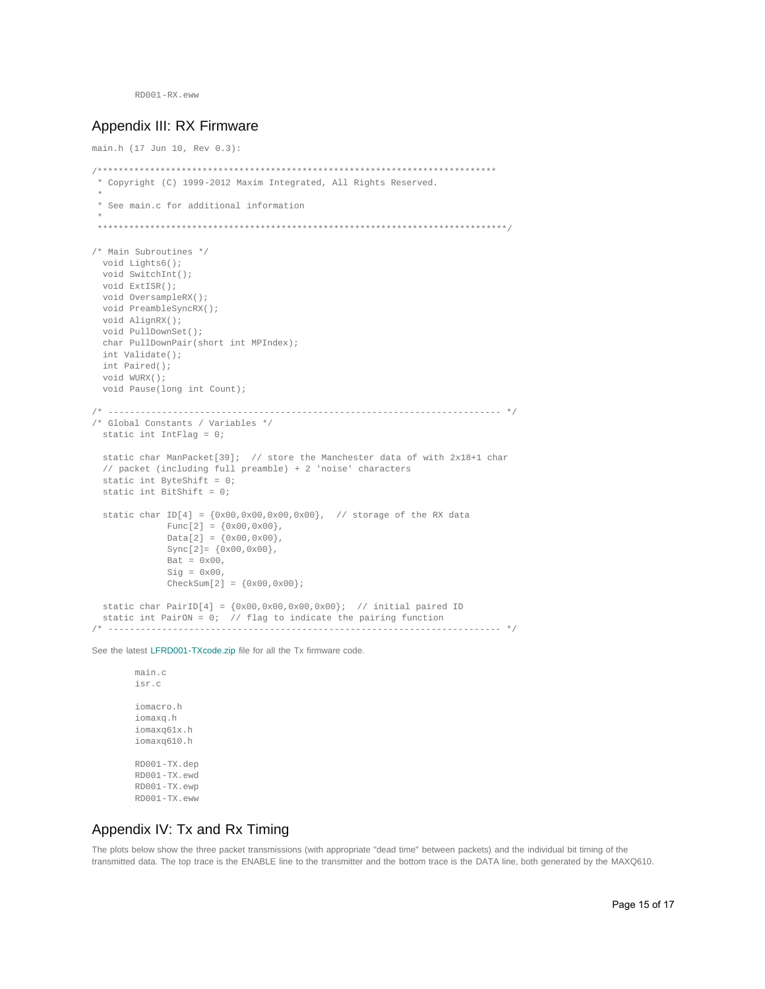RD001-RX.eww

### Appendix III: RX Firmware

```
main.h (17 Jun 10, Rev 0.3):
/****************************************************************************
  * Copyright (C) 1999-2012 Maxim Integrated, All Rights Reserved.
 *
 * See main.c for additional information
 *
 ******************************************************************************/
/* Main Subroutines */
   void Lights6();
  void SwitchInt();
  void ExtISR();
  void OversampleRX();
   void PreambleSyncRX();
   void AlignRX();
   void PullDownSet();
   char PullDownPair(short int MPIndex);
   int Validate();
   int Paired();
  void WURX();
   void Pause(long int Count);
/* ------------------------------------------------------------------------- */
/* Global Constants / Variables */
   static int IntFlag = 0;
  static char ManPacket[39]; // store the Manchester data of with 2x18+1 char 
   // packet (including full preamble) + 2 'noise' characters
   static int ByteShift = 0;
   static int BitShift = 0;
  static char ID[4] = {0x00,0x00,0x00,0x00}, // storage of the RX data
              Func[2] = \{0 \times 00, 0 \times 00\},
              Data[2] = \{0x00, 0x00\}, Sync[2]= {0x00,0x00},
              \text{Bat} = 0 \times 00,
              Sig = 0x00,CheckSum[2] = {0x00, 0x00};static char PairID[4] = \{0x00, 0x00, 0x00, 0x00\}; // initial paired ID
   static int PairON = 0; // flag to indicate the pairing function 
/* ------------------------------------------------------------------------- */
```
See the latest [LFRD001-TXcode.zip](http://www.maximintegrated.com/design/tools/appnotes/5366/LFRD001-TXcode.zip) file for all the Tx firmware code.

 main.c isr.c iomacro.h iomaxq.h iomaxq61x.h iomaxq610.h RD001-TX.dep RD001-TX.ewd RD001-TX.ewp RD001-TX.eww

### Appendix IV: Tx and Rx Timing

The plots below show the three packet transmissions (with appropriate "dead time" between packets) and the individual bit timing of the transmitted data. The top trace is the ENABLE line to the transmitter and the bottom trace is the DATA line, both generated by the MAXQ610.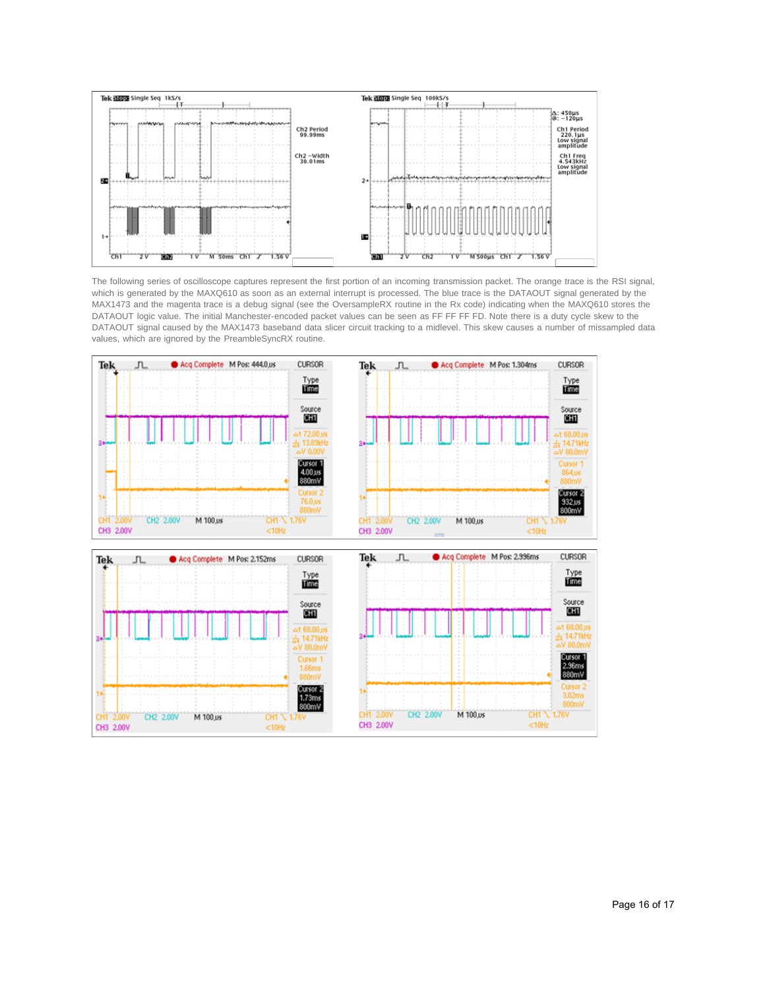

The following series of oscilloscope captures represent the first portion of an incoming transmission packet. The orange trace is the RSI signal, which is generated by the MAXQ610 as soon as an external interrupt is processed. The blue trace is the DATAOUT signal generated by the MAX1473 and the magenta trace is a debug signal (see the OversampleRX routine in the Rx code) indicating when the MAXQ610 stores the DATAOUT logic value. The initial Manchester-encoded packet values can be seen as FF FF FF FD. Note there is a duty cycle skew to the DATAOUT signal caused by the MAX1473 baseband data slicer circuit tracking to a midlevel. This skew causes a number of missampled data values, which are ignored by the PreambleSyncRX routine.